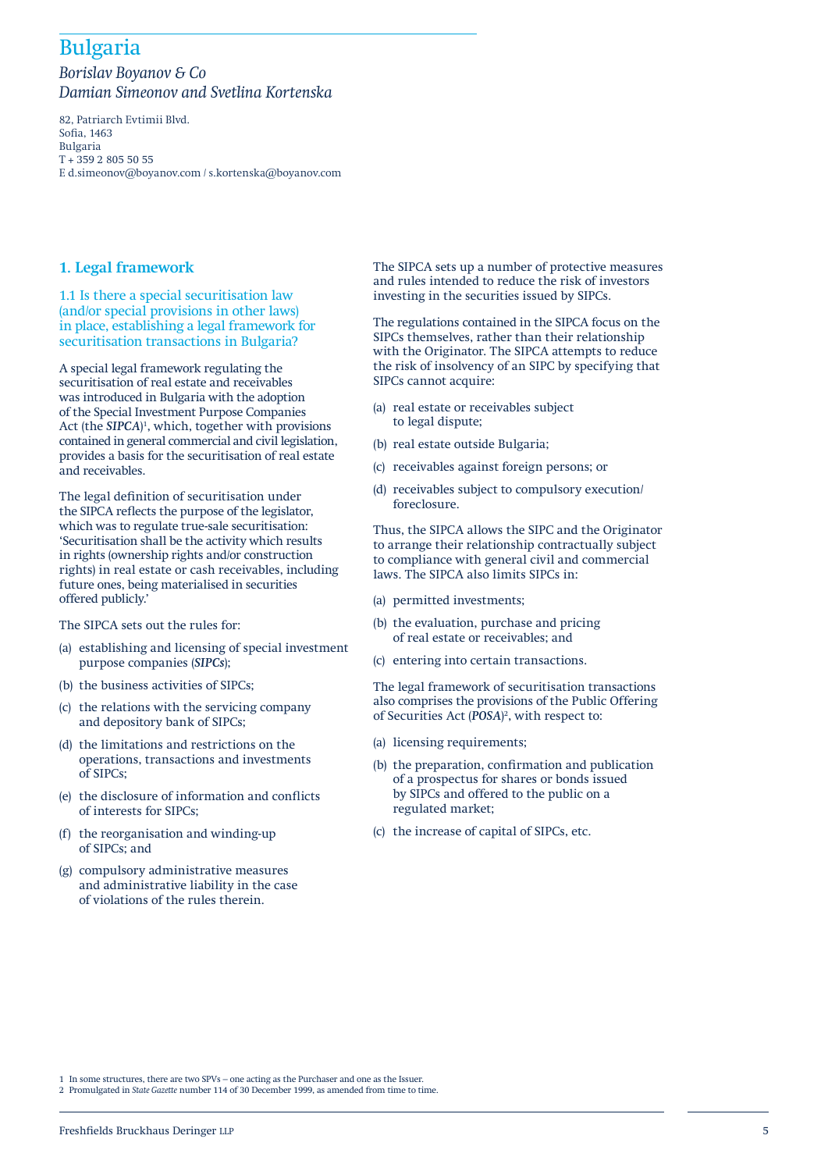### *Borislav Boyanov & Co Damian Simeonov and Svetlina Kortenska*

82, Patriarch Evtimii Blvd. Sofia, 1463 Bulgaria T + 359 2 805 50 55 E d.simeonov@boyanov.com / s.kortenska@boyanov.com

### **1. Legal framework**

1.1 Is there a special securitisation law (and/or special provisions in other laws) in place, establishing a legal framework for securitisation transactions in Bulgaria?

A special legal framework regulating the securitisation of real estate and receivables was introduced in Bulgaria with the adoption of the Special Investment Purpose Companies Act (the *SIPCA*) 1 , which, together with provisions contained in general commercial and civil legislation, provides a basis for the securitisation of real estate and receivables.

The legal definition of securitisation under the SIPCA reflects the purpose of the legislator, which was to regulate true-sale securitisation: 'Securitisation shall be the activity which results in rights (ownership rights and/or construction rights) in real estate or cash receivables, including future ones, being materialised in securities offered publicly.'

The SIPCA sets out the rules for:

- (a) establishing and licensing of special investment purpose companies (*SIPCs*);
- (b) the business activities of SIPCs;
- (c) the relations with the servicing company and depository bank of SIPCs;
- (d) the limitations and restrictions on the operations, transactions and investments of SIPCs;
- (e) the disclosure of information and conflicts of interests for SIPCs;
- (f) the reorganisation and winding-up of SIPCs; and
- (g) compulsory administrative measures and administrative liability in the case of violations of the rules therein.

The SIPCA sets up a number of protective measures and rules intended to reduce the risk of investors investing in the securities issued by SIPCs.

The regulations contained in the SIPCA focus on the SIPCs themselves, rather than their relationship with the Originator. The SIPCA attempts to reduce the risk of insolvency of an SIPC by specifying that SIPCs cannot acquire:

- (a) real estate or receivables subject to legal dispute;
- (b) real estate outside Bulgaria;
- (c) receivables against foreign persons; or
- (d) receivables subject to compulsory execution/ foreclosure.

Thus, the SIPCA allows the SIPC and the Originator to arrange their relationship contractually subject to compliance with general civil and commercial laws. The SIPCA also limits SIPCs in:

- (a) permitted investments;
- (b) the evaluation, purchase and pricing of real estate or receivables; and
- (c) entering into certain transactions.

The legal framework of securitisation transactions also comprises the provisions of the Public Offering of Securities Act (*POSA*) 2 , with respect to:

- (a) licensing requirements;
- (b) the preparation, confirmation and publication of a prospectus for shares or bonds issued by SIPCs and offered to the public on a regulated market;
- (c) the increase of capital of SIPCs, etc.

2 Promulgated in *State Gazette* number 114 of 30 December 1999, as amended from time to time.

<sup>1</sup> In some structures, there are two SPVs – one acting as the Purchaser and one as the Issuer.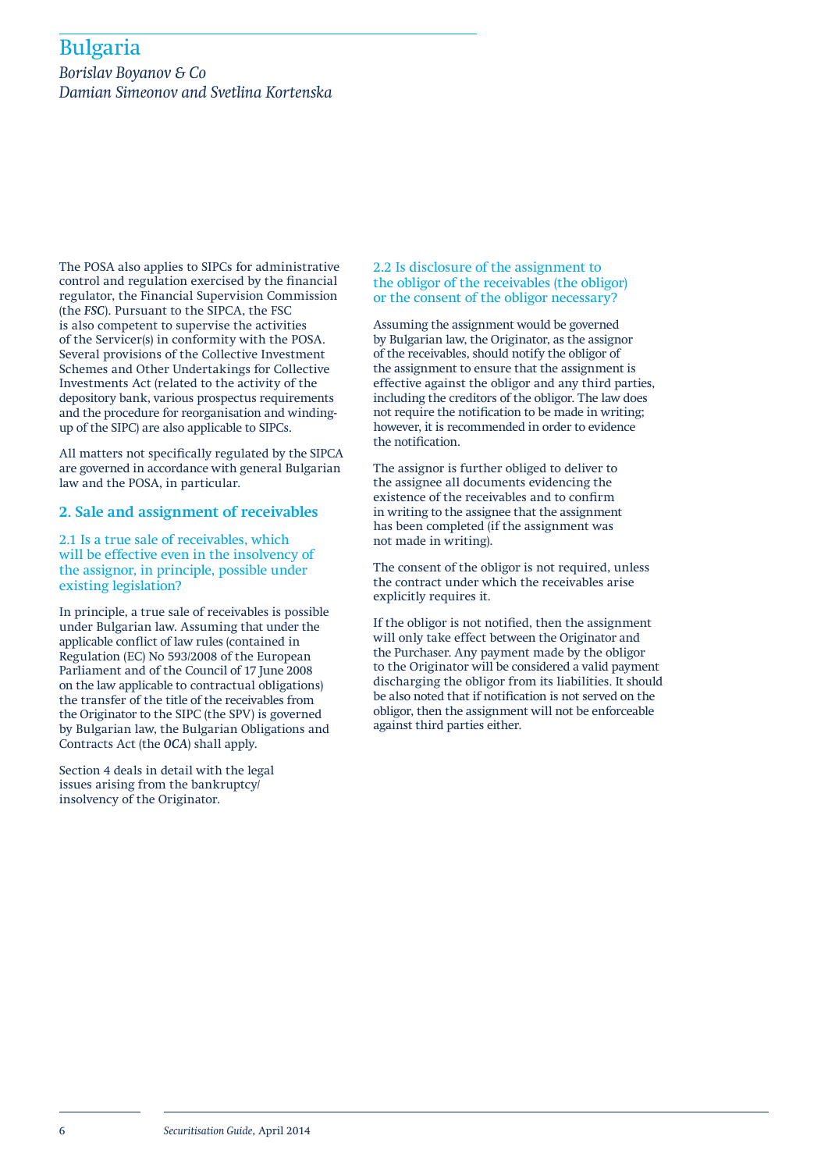*Borislav Boyanov & Co Damian Simeonov and Svetlina Kortenska*

The POSA also applies to SIPCs for administrative control and regulation exercised by the financial regulator, the Financial Supervision Commission (the *FSC*). Pursuant to the SIPCA, the FSC is also competent to supervise the activities of the Servicer(s) in conformity with the POSA. Several provisions of the Collective Investment Schemes and Other Undertakings for Collective Investments Act (related to the activity of the depository bank, various prospectus requirements and the procedure for reorganisation and windingup of the SIPC) are also applicable to SIPCs.

All matters not specifically regulated by the SIPCA are governed in accordance with general Bulgarian law and the POSA, in particular.

### **2. Sale and assignment of receivables**

2.1 Is a true sale of receivables, which will be effective even in the insolvency of the assignor, in principle, possible under existing legislation?

In principle, a true sale of receivables is possible under Bulgarian law. Assuming that under the applicable conflict of law rules (contained in Regulation (EC) No 593/2008 of the European Parliament and of the Council of 17 June 2008 on the law applicable to contractual obligations) the transfer of the title of the receivables from the Originator to the SIPC (the SPV) is governed by Bulgarian law, the Bulgarian Obligations and Contracts Act (the *OCA*) shall apply.

Section 4 deals in detail with the legal issues arising from the bankruptcy/ insolvency of the Originator.

2.2 Is disclosure of the assignment to the obligor of the receivables (the obligor) or the consent of the obligor necessary?

Assuming the assignment would be governed by Bulgarian law, the Originator, as the assignor of the receivables, should notify the obligor of the assignment to ensure that the assignment is effective against the obligor and any third parties, including the creditors of the obligor. The law does not require the notification to be made in writing; however, it is recommended in order to evidence the notification.

The assignor is further obliged to deliver to the assignee all documents evidencing the existence of the receivables and to confirm in writing to the assignee that the assignment has been completed (if the assignment was not made in writing).

The consent of the obligor is not required, unless the contract under which the receivables arise explicitly requires it.

If the obligor is not notified, then the assignment will only take effect between the Originator and the Purchaser. Any payment made by the obligor to the Originator will be considered a valid payment discharging the obligor from its liabilities. It should be also noted that if notification is not served on the obligor, then the assignment will not be enforceable against third parties either.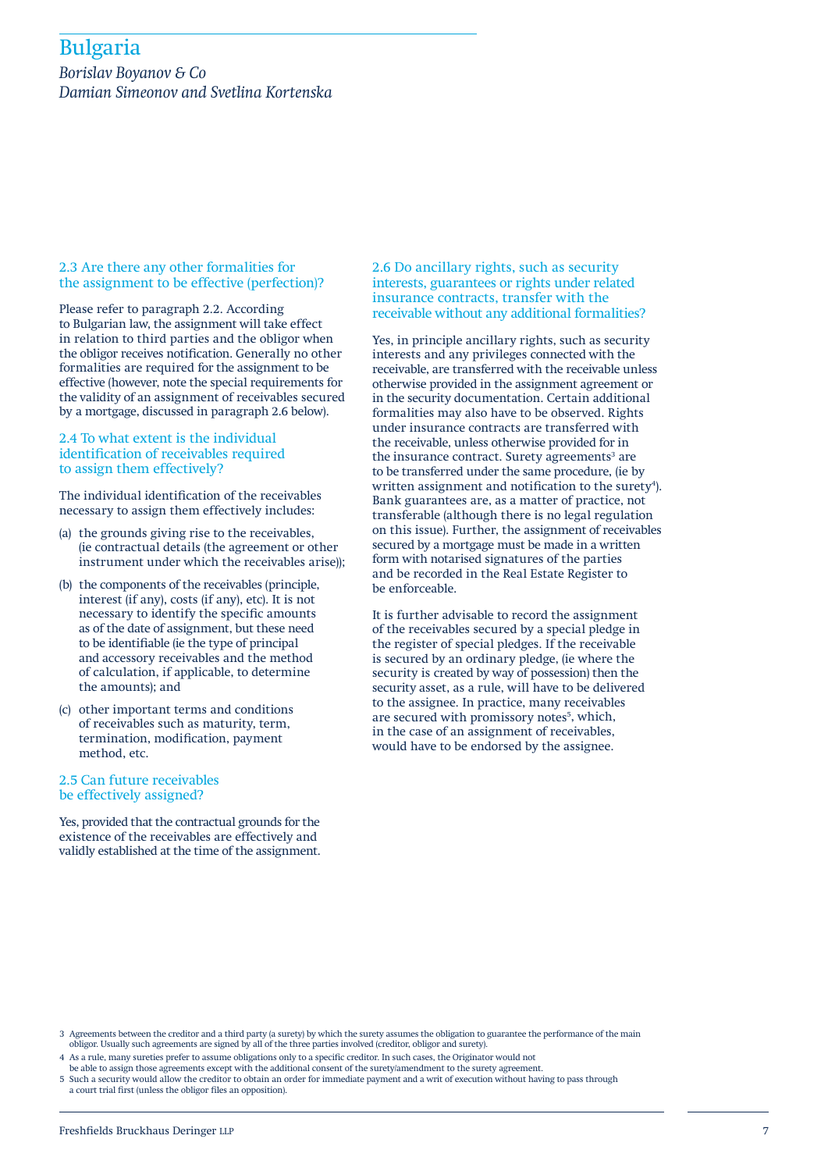*Borislav Boyanov & Co Damian Simeonov and Svetlina Kortenska*

#### 2.3 Are there any other formalities for the assignment to be effective (perfection)?

Please refer to paragraph 2.2. According to Bulgarian law, the assignment will take effect in relation to third parties and the obligor when the obligor receives notification. Generally no other formalities are required for the assignment to be effective (however, note the special requirements for the validity of an assignment of receivables secured by a mortgage, discussed in paragraph 2.6 below).

#### 2.4 To what extent is the individual identification of receivables required to assign them effectively?

The individual identification of the receivables necessary to assign them effectively includes:

- (a) the grounds giving rise to the receivables, (ie contractual details (the agreement or other instrument under which the receivables arise));
- (b) the components of the receivables (principle, interest (if any), costs (if any), etc). It is not necessary to identify the specific amounts as of the date of assignment, but these need to be identifiable (ie the type of principal and accessory receivables and the method of calculation, if applicable, to determine the amounts); and
- (c) other important terms and conditions of receivables such as maturity, term, termination, modification, payment method, etc.

### 2.5 Can future receivables be effectively assigned?

Yes, provided that the contractual grounds for the existence of the receivables are effectively and validly established at the time of the assignment.

2.6 Do ancillary rights, such as security interests, guarantees or rights under related insurance contracts, transfer with the receivable without any additional formalities?

Yes, in principle ancillary rights, such as security interests and any privileges connected with the receivable, are transferred with the receivable unless otherwise provided in the assignment agreement or in the security documentation. Certain additional formalities may also have to be observed. Rights under insurance contracts are transferred with the receivable, unless otherwise provided for in the insurance contract. Surety agreements<sup>3</sup> are to be transferred under the same procedure, (ie by written assignment and notification to the surety $4$ ). Bank guarantees are, as a matter of practice, not transferable (although there is no legal regulation on this issue). Further, the assignment of receivables secured by a mortgage must be made in a written form with notarised signatures of the parties and be recorded in the Real Estate Register to be enforceable.

It is further advisable to record the assignment of the receivables secured by a special pledge in the register of special pledges. If the receivable is secured by an ordinary pledge, (ie where the security is created by way of possession) then the security asset, as a rule, will have to be delivered to the assignee. In practice, many receivables are secured with promissory notes<sup>5</sup>, which, in the case of an assignment of receivables, would have to be endorsed by the assignee.

4 As a rule, many sureties prefer to assume obligations only to a specific creditor. In such cases, the Originator would not

be able to assign those agreements except with the additional consent of the surety/amendment to the surety agreement. 5 Such a security would allow the creditor to obtain an order for immediate payment and a writ of execution without having to pass through a court trial first (unless the obligor files an opposition).

<sup>3</sup> Agreements between the creditor and a third party (a surety) by which the surety assumes the obligation to guarantee the performance of the main obligor. Usually such agreements are signed by all of the three parties involved (creditor, obligor and surety).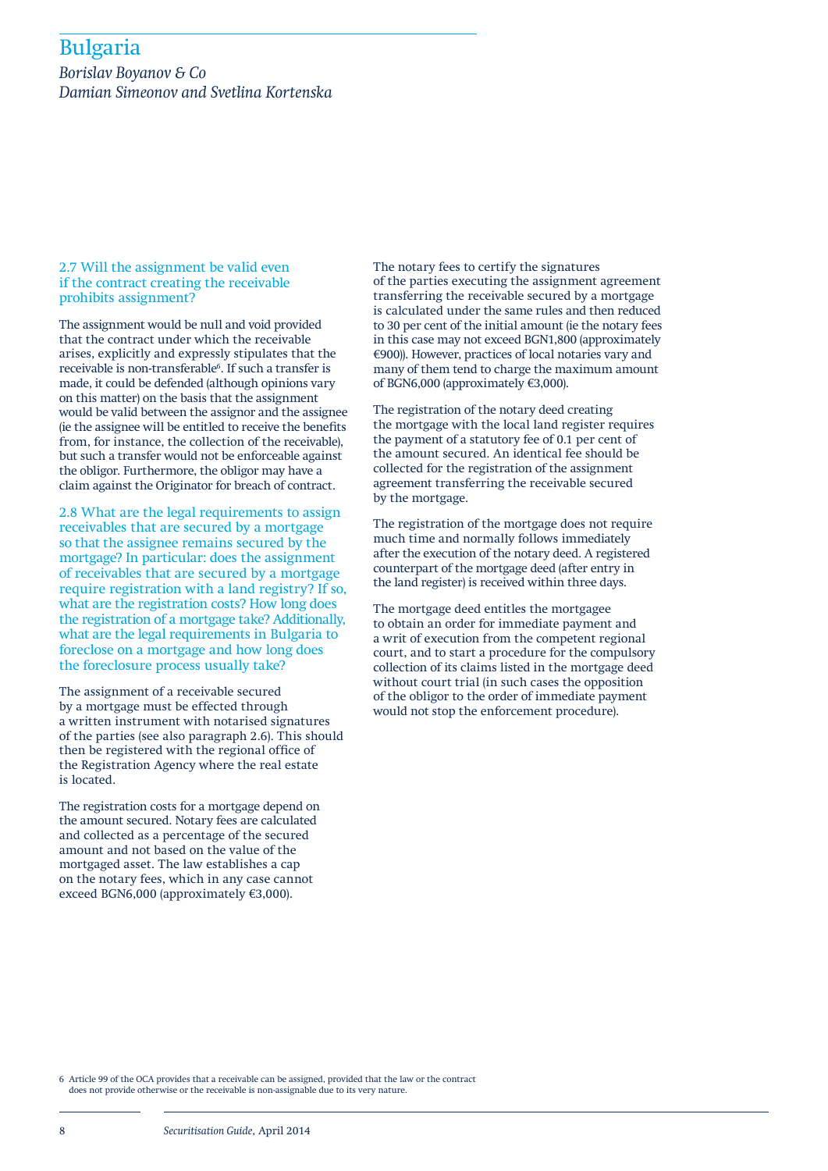*Borislav Boyanov & Co Damian Simeonov and Svetlina Kortenska*

#### 2.7 Will the assignment be valid even if the contract creating the receivable prohibits assignment?

The assignment would be null and void provided that the contract under which the receivable arises, explicitly and expressly stipulates that the receivable is non-transferable<sup>6</sup>. If such a transfer is made, it could be defended (although opinions vary on this matter) on the basis that the assignment would be valid between the assignor and the assignee (ie the assignee will be entitled to receive the benefits from, for instance, the collection of the receivable), but such a transfer would not be enforceable against the obligor. Furthermore, the obligor may have a claim against the Originator for breach of contract.

2.8 What are the legal requirements to assign receivables that are secured by a mortgage so that the assignee remains secured by the mortgage? In particular: does the assignment of receivables that are secured by a mortgage require registration with a land registry? If so, what are the registration costs? How long does the registration of a mortgage take? Additionally, what are the legal requirements in Bulgaria to foreclose on a mortgage and how long does the foreclosure process usually take?

The assignment of a receivable secured by a mortgage must be effected through a written instrument with notarised signatures of the parties (see also paragraph 2.6). This should then be registered with the regional office of the Registration Agency where the real estate is located.

The registration costs for a mortgage depend on the amount secured. Notary fees are calculated and collected as a percentage of the secured amount and not based on the value of the mortgaged asset. The law establishes a cap on the notary fees, which in any case cannot exceed BGN6,000 (approximately €3,000).

The notary fees to certify the signatures of the parties executing the assignment agreement transferring the receivable secured by a mortgage is calculated under the same rules and then reduced to 30 per cent of the initial amount (ie the notary fees in this case may not exceed BGN1,800 (approximately €900)). However, practices of local notaries vary and many of them tend to charge the maximum amount of BGN6,000 (approximately €3,000).

The registration of the notary deed creating the mortgage with the local land register requires the payment of a statutory fee of 0.1 per cent of the amount secured. An identical fee should be collected for the registration of the assignment agreement transferring the receivable secured by the mortgage.

The registration of the mortgage does not require much time and normally follows immediately after the execution of the notary deed. A registered counterpart of the mortgage deed (after entry in the land register) is received within three days.

The mortgage deed entitles the mortgagee to obtain an order for immediate payment and a writ of execution from the competent regional court, and to start a procedure for the compulsory collection of its claims listed in the mortgage deed without court trial (in such cases the opposition of the obligor to the order of immediate payment would not stop the enforcement procedure).

6 Article 99 of the OCA provides that a receivable can be assigned, provided that the law or the contract does not provide otherwise or the receivable is non-assignable due to its very nature.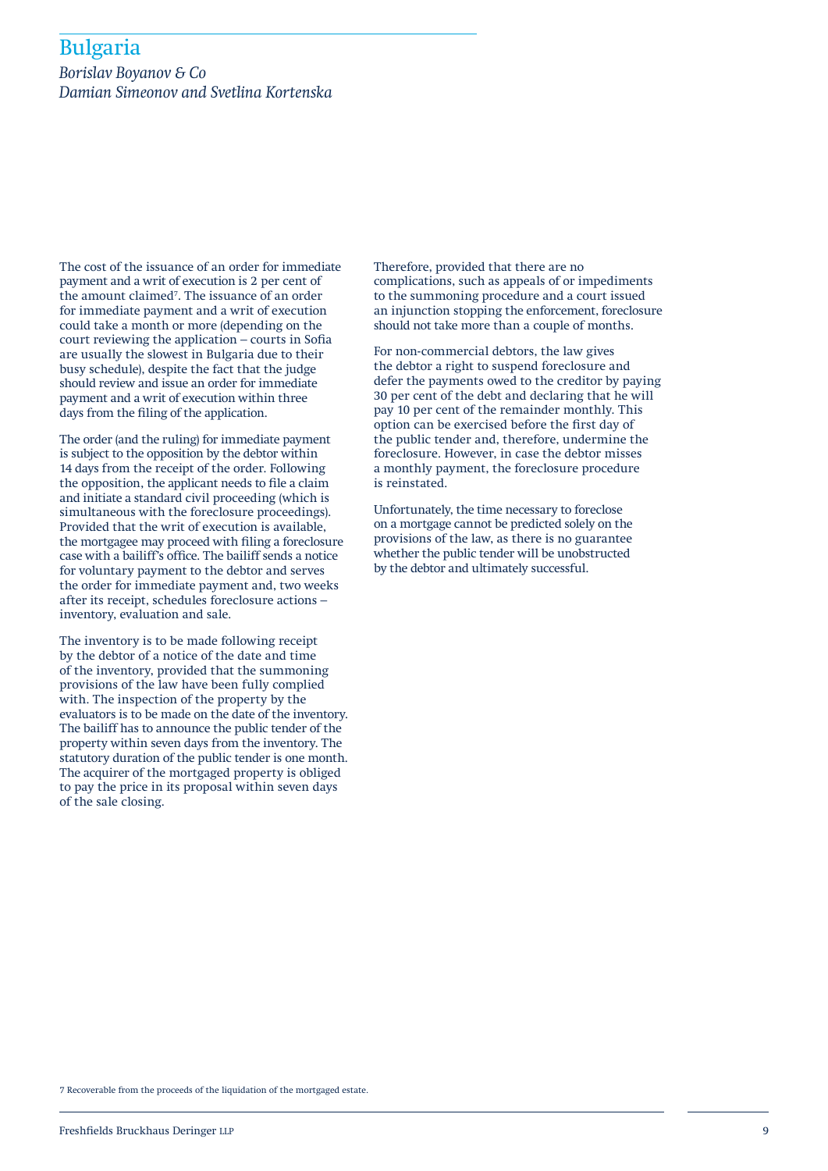*Borislav Boyanov & Co Damian Simeonov and Svetlina Kortenska*

The cost of the issuance of an order for immediate payment and a writ of execution is 2 per cent of the amount claimed<sup>7</sup>. The issuance of an order for immediate payment and a writ of execution could take a month or more (depending on the court reviewing the application – courts in Sofia are usually the slowest in Bulgaria due to their busy schedule), despite the fact that the judge should review and issue an order for immediate payment and a writ of execution within three days from the filing of the application.

The order (and the ruling) for immediate payment is subject to the opposition by the debtor within 14 days from the receipt of the order. Following the opposition, the applicant needs to file a claim and initiate a standard civil proceeding (which is simultaneous with the foreclosure proceedings). Provided that the writ of execution is available, the mortgagee may proceed with filing a foreclosure case with a bailiff's office. The bailiff sends a notice for voluntary payment to the debtor and serves the order for immediate payment and, two weeks after its receipt, schedules foreclosure actions – inventory, evaluation and sale.

The inventory is to be made following receipt by the debtor of a notice of the date and time of the inventory, provided that the summoning provisions of the law have been fully complied with. The inspection of the property by the evaluators is to be made on the date of the inventory. The bailiff has to announce the public tender of the property within seven days from the inventory. The statutory duration of the public tender is one month. The acquirer of the mortgaged property is obliged to pay the price in its proposal within seven days of the sale closing.

Therefore, provided that there are no complications, such as appeals of or impediments to the summoning procedure and a court issued an injunction stopping the enforcement, foreclosure should not take more than a couple of months.

For non-commercial debtors, the law gives the debtor a right to suspend foreclosure and defer the payments owed to the creditor by paying 30 per cent of the debt and declaring that he will pay 10 per cent of the remainder monthly. This option can be exercised before the first day of the public tender and, therefore, undermine the foreclosure. However, in case the debtor misses a monthly payment, the foreclosure procedure is reinstated.

Unfortunately, the time necessary to foreclose on a mortgage cannot be predicted solely on the provisions of the law, as there is no guarantee whether the public tender will be unobstructed by the debtor and ultimately successful.

7 Recoverable from the proceeds of the liquidation of the mortgaged estate.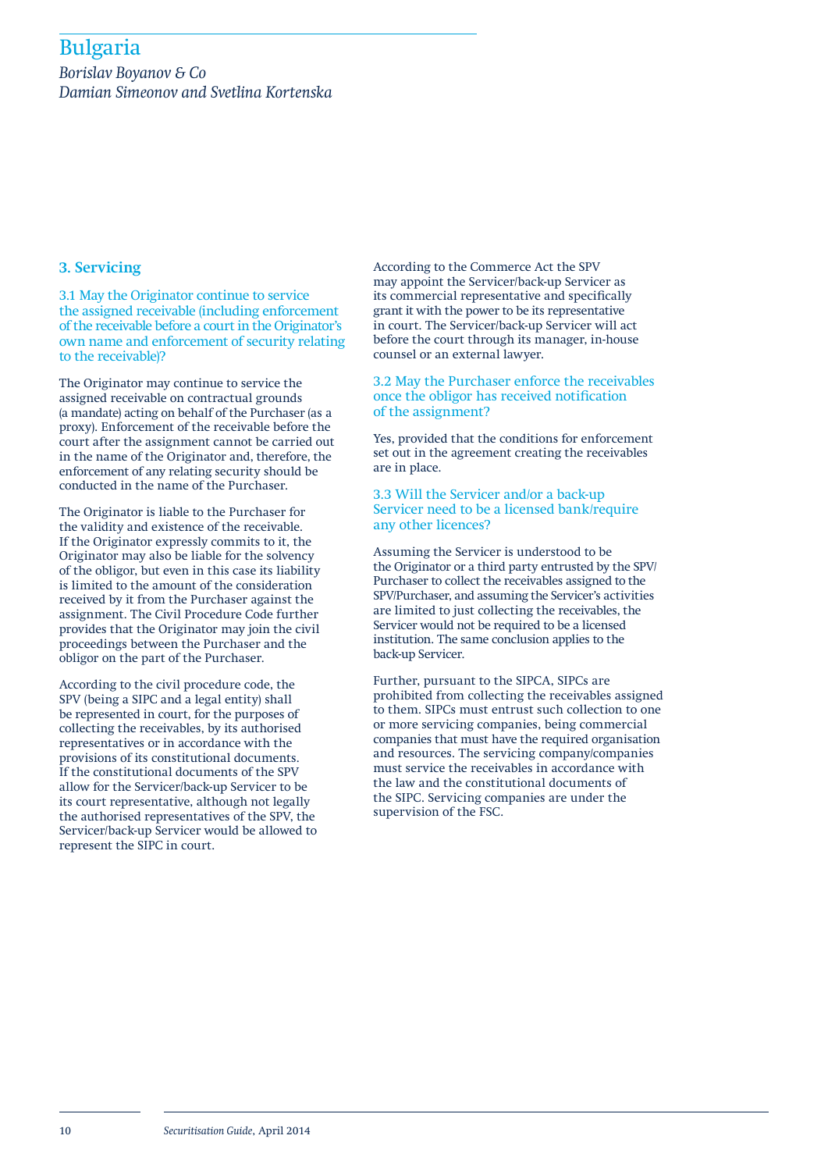*Borislav Boyanov & Co Damian Simeonov and Svetlina Kortenska*

### **3. Servicing**

3.1 May the Originator continue to service the assigned receivable (including enforcement of the receivable before a court in the Originator's own name and enforcement of security relating to the receivable)?

The Originator may continue to service the assigned receivable on contractual grounds (a mandate) acting on behalf of the Purchaser (as a proxy). Enforcement of the receivable before the court after the assignment cannot be carried out in the name of the Originator and, therefore, the enforcement of any relating security should be conducted in the name of the Purchaser.

The Originator is liable to the Purchaser for the validity and existence of the receivable. If the Originator expressly commits to it, the Originator may also be liable for the solvency of the obligor, but even in this case its liability is limited to the amount of the consideration received by it from the Purchaser against the assignment. The Civil Procedure Code further provides that the Originator may join the civil proceedings between the Purchaser and the obligor on the part of the Purchaser.

According to the civil procedure code, the SPV (being a SIPC and a legal entity) shall be represented in court, for the purposes of collecting the receivables, by its authorised representatives or in accordance with the provisions of its constitutional documents. If the constitutional documents of the SPV allow for the Servicer/back-up Servicer to be its court representative, although not legally the authorised representatives of the SPV, the Servicer/back-up Servicer would be allowed to represent the SIPC in court.

According to the Commerce Act the SPV may appoint the Servicer/back-up Servicer as its commercial representative and specifically grant it with the power to be its representative in court. The Servicer/back-up Servicer will act before the court through its manager, in-house counsel or an external lawyer.

3.2 May the Purchaser enforce the receivables once the obligor has received notification of the assignment?

Yes, provided that the conditions for enforcement set out in the agreement creating the receivables are in place.

3.3 Will the Servicer and/or a back-up Servicer need to be a licensed bank/require any other licences?

Assuming the Servicer is understood to be the Originator or a third party entrusted by the SPV/ Purchaser to collect the receivables assigned to the SPV/Purchaser, and assuming the Servicer's activities are limited to just collecting the receivables, the Servicer would not be required to be a licensed institution. The same conclusion applies to the back-up Servicer.

Further, pursuant to the SIPCA, SIPCs are prohibited from collecting the receivables assigned to them. SIPCs must entrust such collection to one or more servicing companies, being commercial companies that must have the required organisation and resources. The servicing company/companies must service the receivables in accordance with the law and the constitutional documents of the SIPC. Servicing companies are under the supervision of the FSC.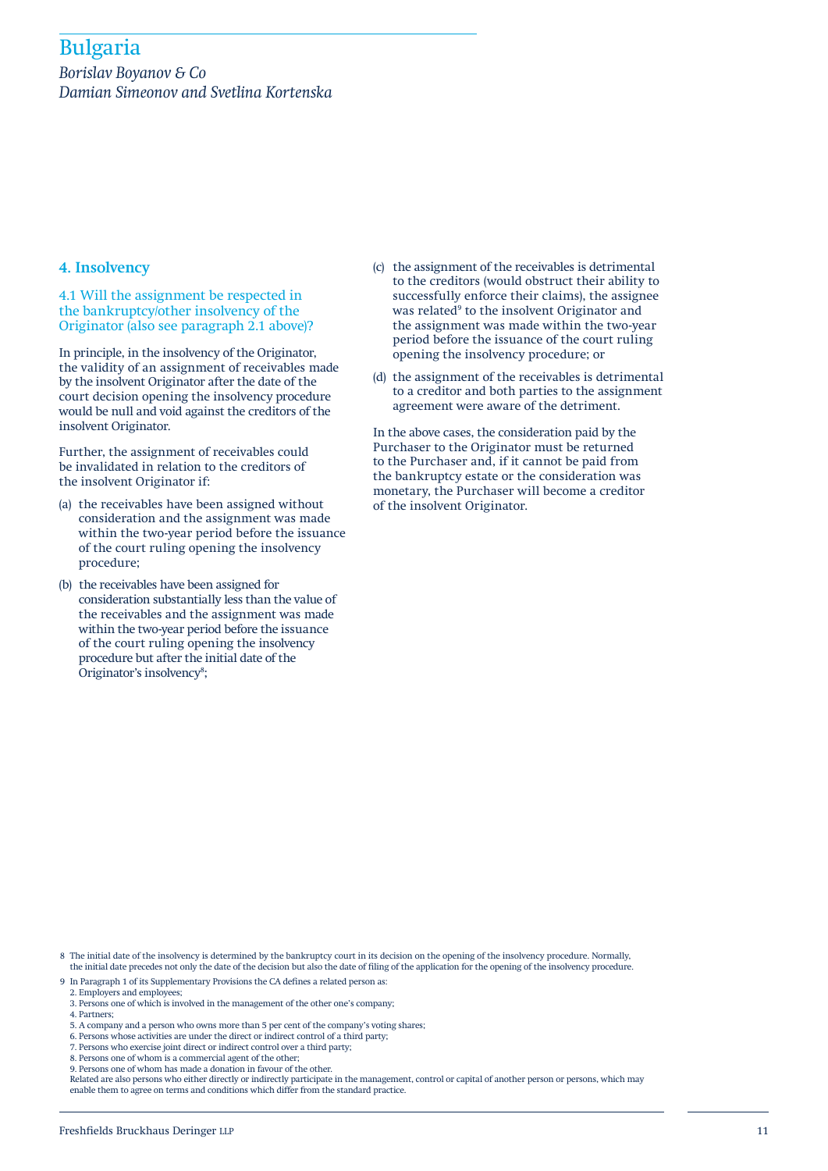*Borislav Boyanov & Co Damian Simeonov and Svetlina Kortenska*

### **4. Insolvency**

4.1 Will the assignment be respected in the bankruptcy/other insolvency of the Originator (also see paragraph 2.1 above)?

In principle, in the insolvency of the Originator, the validity of an assignment of receivables made by the insolvent Originator after the date of the court decision opening the insolvency procedure would be null and void against the creditors of the insolvent Originator.

Further, the assignment of receivables could be invalidated in relation to the creditors of the insolvent Originator if:

- (a) the receivables have been assigned without consideration and the assignment was made within the two-year period before the issuance of the court ruling opening the insolvency procedure;
- (b) the receivables have been assigned for consideration substantially less than the value of the receivables and the assignment was made within the two-year period before the issuance of the court ruling opening the insolvency procedure but after the initial date of the Originator's insolvency<sup>8</sup>;
- (c) the assignment of the receivables is detrimental to the creditors (would obstruct their ability to successfully enforce their claims), the assignee was related<sup>9</sup> to the insolvent Originator and the assignment was made within the two-year period before the issuance of the court ruling opening the insolvency procedure; or
- (d) the assignment of the receivables is detrimental to a creditor and both parties to the assignment agreement were aware of the detriment.

In the above cases, the consideration paid by the Purchaser to the Originator must be returned to the Purchaser and, if it cannot be paid from the bankruptcy estate or the consideration was monetary, the Purchaser will become a creditor of the insolvent Originator.

- 8 The initial date of the insolvency is determined by the bankruptcy court in its decision on the opening of the insolvency procedure. Normally, the initial date precedes not only the date of the decision but also the date of filing of the application for the opening of the insolvency procedure.
- 9 In Paragraph 1 of its Supplementary Provisions the CA defines a related person as:
- 2. Employers and employees;
- 3. Persons one of which is involved in the management of the other one's company;
- 4. Partners;
- 5. A company and a person who owns more than 5 per cent of the company's voting shares;
- 6. Persons whose activities are under the direct or indirect control of a third party;
- 7. Persons who exercise joint direct or indirect control over a third party;
- 8. Persons one of whom is a commercial agent of the other;
- 9. Persons one of whom has made a donation in favour of the other.
- Related are also persons who either directly or indirectly participate in the management, control or capital of another person or persons, which may enable them to agree on terms and conditions which differ from the standard practice.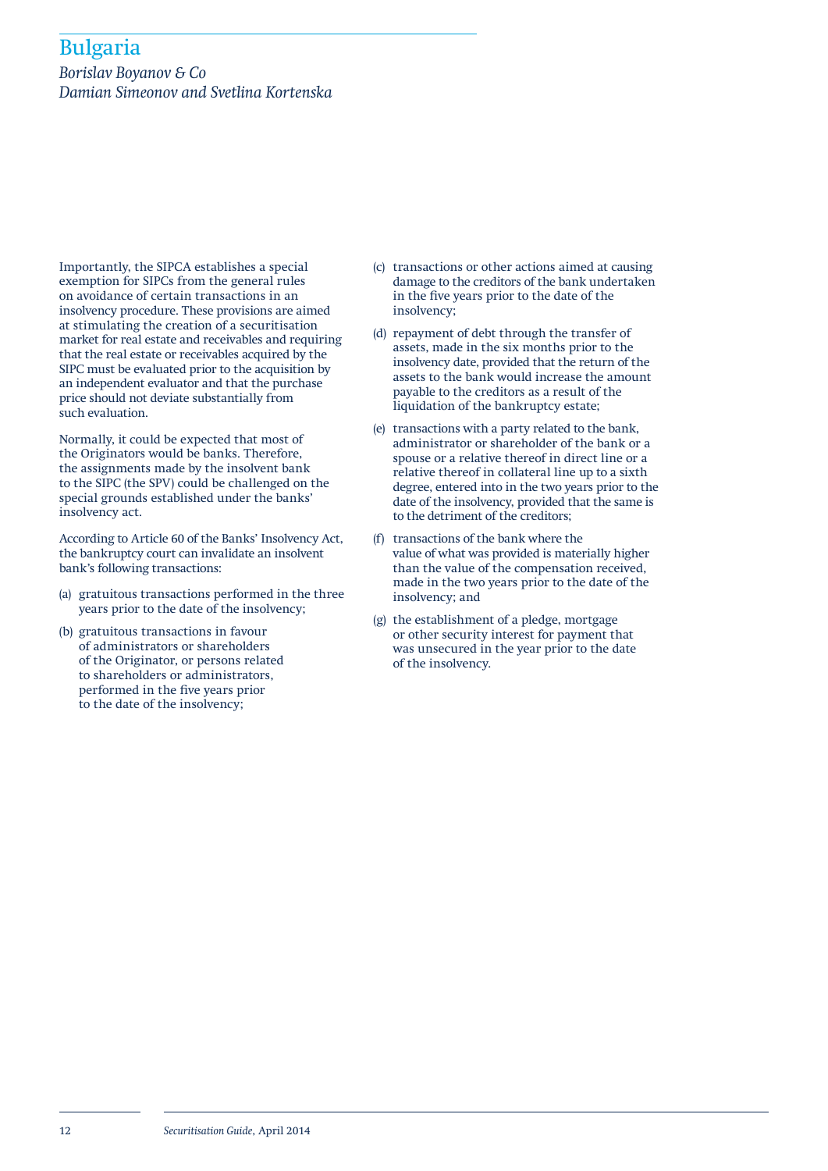*Borislav Boyanov & Co Damian Simeonov and Svetlina Kortenska*

Importantly, the SIPCA establishes a special exemption for SIPCs from the general rules on avoidance of certain transactions in an insolvency procedure. These provisions are aimed at stimulating the creation of a securitisation market for real estate and receivables and requiring that the real estate or receivables acquired by the SIPC must be evaluated prior to the acquisition by an independent evaluator and that the purchase price should not deviate substantially from such evaluation.

Normally, it could be expected that most of the Originators would be banks. Therefore, the assignments made by the insolvent bank to the SIPC (the SPV) could be challenged on the special grounds established under the banks' insolvency act.

According to Article 60 of the Banks' Insolvency Act, the bankruptcy court can invalidate an insolvent bank's following transactions:

- (a) gratuitous transactions performed in the three years prior to the date of the insolvency;
- (b) gratuitous transactions in favour of administrators or shareholders of the Originator, or persons related to shareholders or administrators, performed in the five years prior to the date of the insolvency;
- (c) transactions or other actions aimed at causing damage to the creditors of the bank undertaken in the five years prior to the date of the insolvency;
- (d) repayment of debt through the transfer of assets, made in the six months prior to the insolvency date, provided that the return of the assets to the bank would increase the amount payable to the creditors as a result of the liquidation of the bankruptcy estate;
- (e) transactions with a party related to the bank, administrator or shareholder of the bank or a spouse or a relative thereof in direct line or a relative thereof in collateral line up to a sixth degree, entered into in the two years prior to the date of the insolvency, provided that the same is to the detriment of the creditors;
- (f) transactions of the bank where the value of what was provided is materially higher than the value of the compensation received, made in the two years prior to the date of the insolvency; and
- (g) the establishment of a pledge, mortgage or other security interest for payment that was unsecured in the year prior to the date of the insolvency.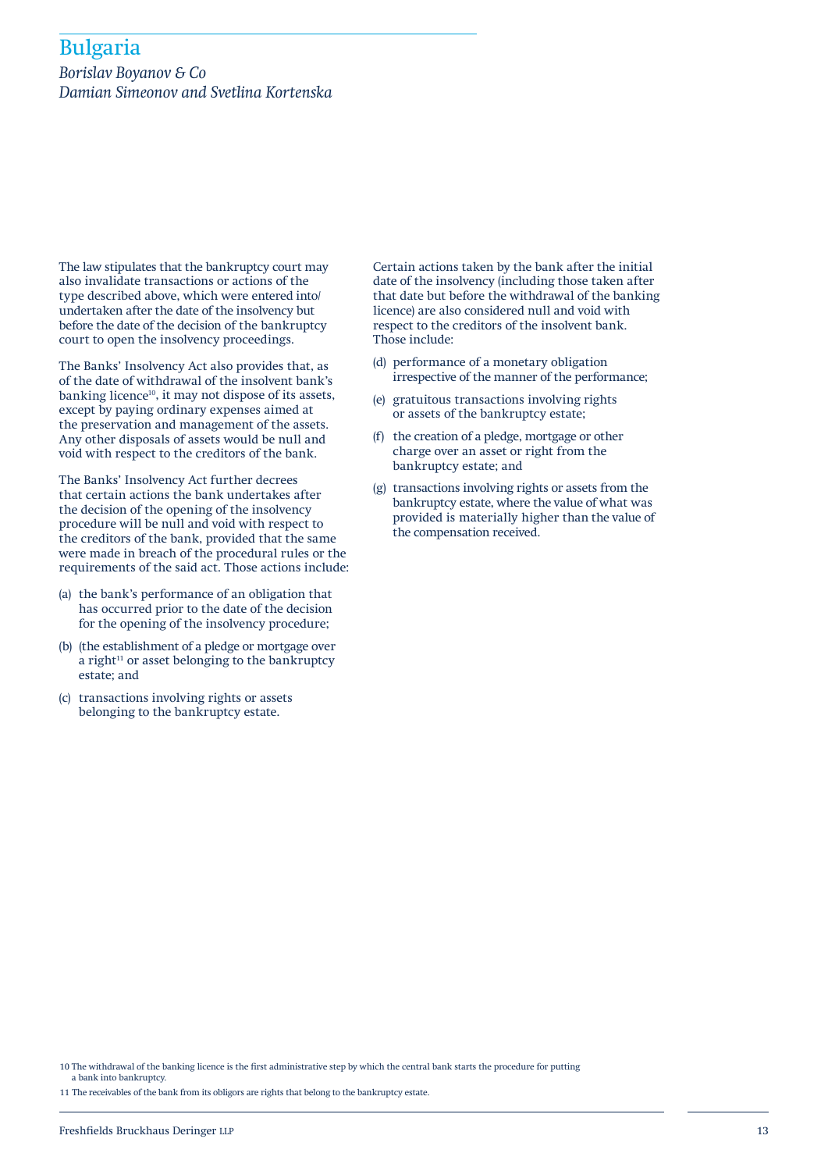*Borislav Boyanov & Co Damian Simeonov and Svetlina Kortenska*

The law stipulates that the bankruptcy court may also invalidate transactions or actions of the type described above, which were entered into/ undertaken after the date of the insolvency but before the date of the decision of the bankruptcy court to open the insolvency proceedings.

The Banks' Insolvency Act also provides that, as of the date of withdrawal of the insolvent bank's banking licence<sup>10</sup>, it may not dispose of its assets, except by paying ordinary expenses aimed at the preservation and management of the assets. Any other disposals of assets would be null and void with respect to the creditors of the bank.

The Banks' Insolvency Act further decrees that certain actions the bank undertakes after the decision of the opening of the insolvency procedure will be null and void with respect to the creditors of the bank, provided that the same were made in breach of the procedural rules or the requirements of the said act. Those actions include:

- (a) the bank's performance of an obligation that has occurred prior to the date of the decision for the opening of the insolvency procedure;
- (b) (the establishment of a pledge or mortgage over a right $11$  or asset belonging to the bankruptcy estate; and
- (c) transactions involving rights or assets belonging to the bankruptcy estate.

Certain actions taken by the bank after the initial date of the insolvency (including those taken after that date but before the withdrawal of the banking licence) are also considered null and void with respect to the creditors of the insolvent bank. Those include:

- (d) performance of a monetary obligation irrespective of the manner of the performance;
- (e) gratuitous transactions involving rights or assets of the bankruptcy estate;
- (f) the creation of a pledge, mortgage or other charge over an asset or right from the bankruptcy estate; and
- (g) transactions involving rights or assets from the bankruptcy estate, where the value of what was provided is materially higher than the value of the compensation received.

10 The withdrawal of the banking licence is the first administrative step by which the central bank starts the procedure for putting a bank into bankruptcy.

11 The receivables of the bank from its obligors are rights that belong to the bankruptcy estate.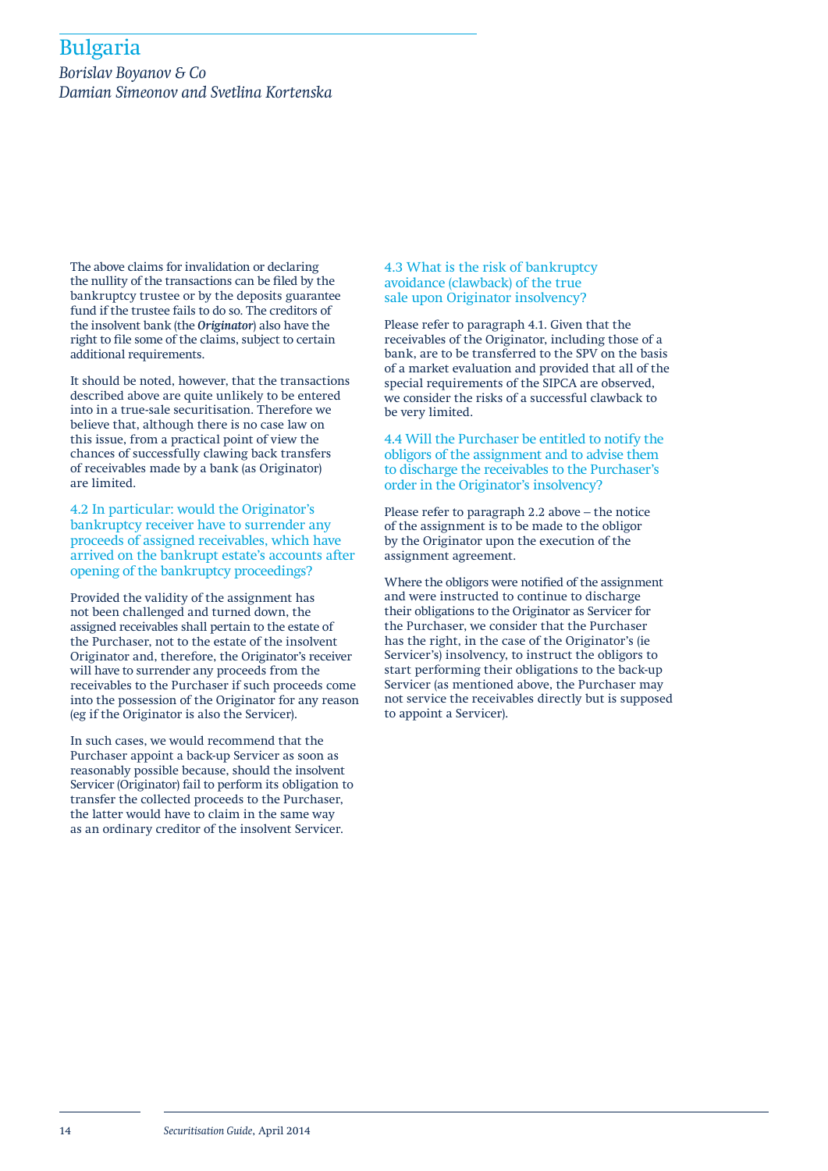*Borislav Boyanov & Co Damian Simeonov and Svetlina Kortenska*

The above claims for invalidation or declaring the nullity of the transactions can be filed by the bankruptcy trustee or by the deposits guarantee fund if the trustee fails to do so. The creditors of the insolvent bank (the *Originator*) also have the right to file some of the claims, subject to certain additional requirements.

It should be noted, however, that the transactions described above are quite unlikely to be entered into in a true-sale securitisation. Therefore we believe that, although there is no case law on this issue, from a practical point of view the chances of successfully clawing back transfers of receivables made by a bank (as Originator) are limited.

4.2 In particular: would the Originator's bankruptcy receiver have to surrender any proceeds of assigned receivables, which have arrived on the bankrupt estate's accounts after opening of the bankruptcy proceedings?

Provided the validity of the assignment has not been challenged and turned down, the assigned receivables shall pertain to the estate of the Purchaser, not to the estate of the insolvent Originator and, therefore, the Originator's receiver will have to surrender any proceeds from the receivables to the Purchaser if such proceeds come into the possession of the Originator for any reason (eg if the Originator is also the Servicer).

In such cases, we would recommend that the Purchaser appoint a back-up Servicer as soon as reasonably possible because, should the insolvent Servicer (Originator) fail to perform its obligation to transfer the collected proceeds to the Purchaser, the latter would have to claim in the same way as an ordinary creditor of the insolvent Servicer.

#### 4.3 What is the risk of bankruptcy avoidance (clawback) of the true sale upon Originator insolvency?

Please refer to paragraph 4.1. Given that the receivables of the Originator, including those of a bank, are to be transferred to the SPV on the basis of a market evaluation and provided that all of the special requirements of the SIPCA are observed, we consider the risks of a successful clawback to be very limited.

4.4 Will the Purchaser be entitled to notify the obligors of the assignment and to advise them to discharge the receivables to the Purchaser's order in the Originator's insolvency?

Please refer to paragraph 2.2 above – the notice of the assignment is to be made to the obligor by the Originator upon the execution of the assignment agreement.

Where the obligors were notified of the assignment and were instructed to continue to discharge their obligations to the Originator as Servicer for the Purchaser, we consider that the Purchaser has the right, in the case of the Originator's (ie Servicer's) insolvency, to instruct the obligors to start performing their obligations to the back-up Servicer (as mentioned above, the Purchaser may not service the receivables directly but is supposed to appoint a Servicer).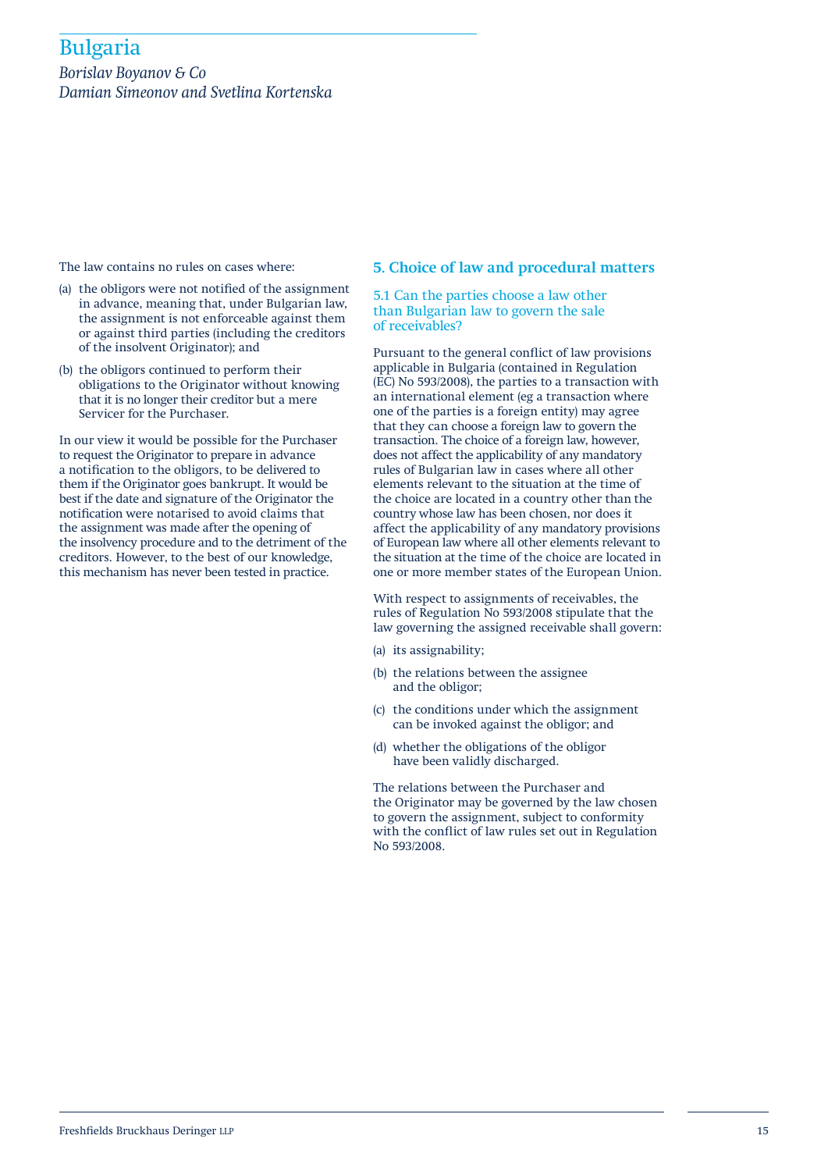*Borislav Boyanov & Co Damian Simeonov and Svetlina Kortenska*

The law contains no rules on cases where:

- (a) the obligors were not notified of the assignment in advance, meaning that, under Bulgarian law, the assignment is not enforceable against them or against third parties (including the creditors of the insolvent Originator); and
- (b) the obligors continued to perform their obligations to the Originator without knowing that it is no longer their creditor but a mere Servicer for the Purchaser.

In our view it would be possible for the Purchaser to request the Originator to prepare in advance a notification to the obligors, to be delivered to them if the Originator goes bankrupt. It would be best if the date and signature of the Originator the notification were notarised to avoid claims that the assignment was made after the opening of the insolvency procedure and to the detriment of the creditors. However, to the best of our knowledge, this mechanism has never been tested in practice.

#### **5. Choice of law and procedural matters**

5.1 Can the parties choose a law other than Bulgarian law to govern the sale of receivables?

Pursuant to the general conflict of law provisions applicable in Bulgaria (contained in Regulation (EC) No 593/2008), the parties to a transaction with an international element (eg a transaction where one of the parties is a foreign entity) may agree that they can choose a foreign law to govern the transaction. The choice of a foreign law, however, does not affect the applicability of any mandatory rules of Bulgarian law in cases where all other elements relevant to the situation at the time of the choice are located in a country other than the country whose law has been chosen, nor does it affect the applicability of any mandatory provisions of European law where all other elements relevant to the situation at the time of the choice are located in one or more member states of the European Union.

With respect to assignments of receivables, the rules of Regulation No 593/2008 stipulate that the law governing the assigned receivable shall govern:

- (a) its assignability;
- (b) the relations between the assignee and the obligor;
- (c) the conditions under which the assignment can be invoked against the obligor; and
- (d) whether the obligations of the obligor have been validly discharged.

The relations between the Purchaser and the Originator may be governed by the law chosen to govern the assignment, subject to conformity with the conflict of law rules set out in Regulation No 593/2008.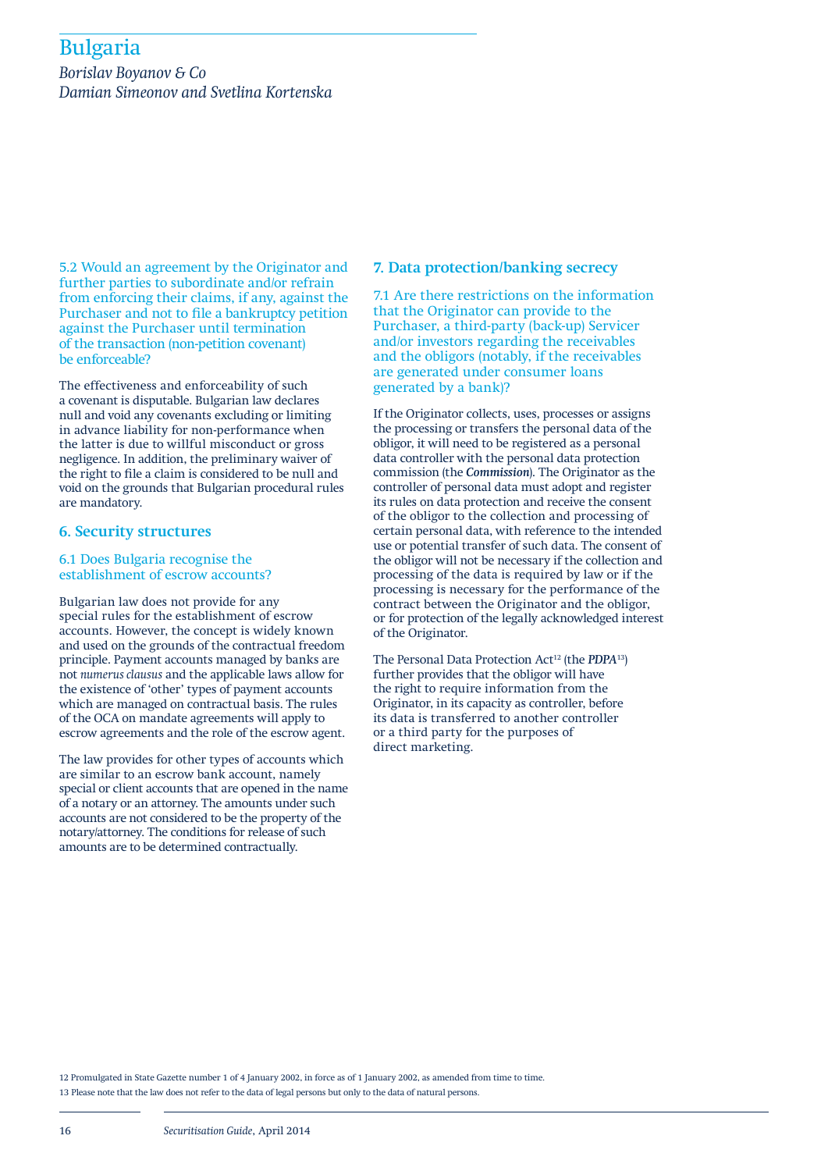*Borislav Boyanov & Co Damian Simeonov and Svetlina Kortenska*

5.2 Would an agreement by the Originator and further parties to subordinate and/or refrain from enforcing their claims, if any, against the Purchaser and not to file a bankruptcy petition against the Purchaser until termination of the transaction (non-petition covenant) be enforceable?

The effectiveness and enforceability of such a covenant is disputable. Bulgarian law declares null and void any covenants excluding or limiting in advance liability for non-performance when the latter is due to willful misconduct or gross negligence. In addition, the preliminary waiver of the right to file a claim is considered to be null and void on the grounds that Bulgarian procedural rules are mandatory.

#### **6. Security structures**

6.1 Does Bulgaria recognise the establishment of escrow accounts?

Bulgarian law does not provide for any special rules for the establishment of escrow accounts. However, the concept is widely known and used on the grounds of the contractual freedom principle. Payment accounts managed by banks are not *numerus clausus* and the applicable laws allow for the existence of 'other' types of payment accounts which are managed on contractual basis. The rules of the OCA on mandate agreements will apply to escrow agreements and the role of the escrow agent.

The law provides for other types of accounts which are similar to an escrow bank account, namely special or client accounts that are opened in the name of a notary or an attorney. The amounts under such accounts are not considered to be the property of the notary/attorney. The conditions for release of such amounts are to be determined contractually.

#### **7. Data protection/banking secrecy**

7.1 Are there restrictions on the information that the Originator can provide to the Purchaser, a third-party (back-up) Servicer and/or investors regarding the receivables and the obligors (notably, if the receivables are generated under consumer loans generated by a bank)?

If the Originator collects, uses, processes or assigns the processing or transfers the personal data of the obligor, it will need to be registered as a personal data controller with the personal data protection commission (the *Commission*). The Originator as the controller of personal data must adopt and register its rules on data protection and receive the consent of the obligor to the collection and processing of certain personal data, with reference to the intended use or potential transfer of such data. The consent of the obligor will not be necessary if the collection and processing of the data is required by law or if the processing is necessary for the performance of the contract between the Originator and the obligor, or for protection of the legally acknowledged interest of the Originator.

The Personal Data Protection Act<sup>12</sup> (the *PDPA*<sup>13</sup>) further provides that the obligor will have the right to require information from the Originator, in its capacity as controller, before its data is transferred to another controller or a third party for the purposes of direct marketing.

12 Promulgated in State Gazette number 1 of 4 January 2002, in force as of 1 January 2002, as amended from time to time.

13 Please note that the law does not refer to the data of legal persons but only to the data of natural persons.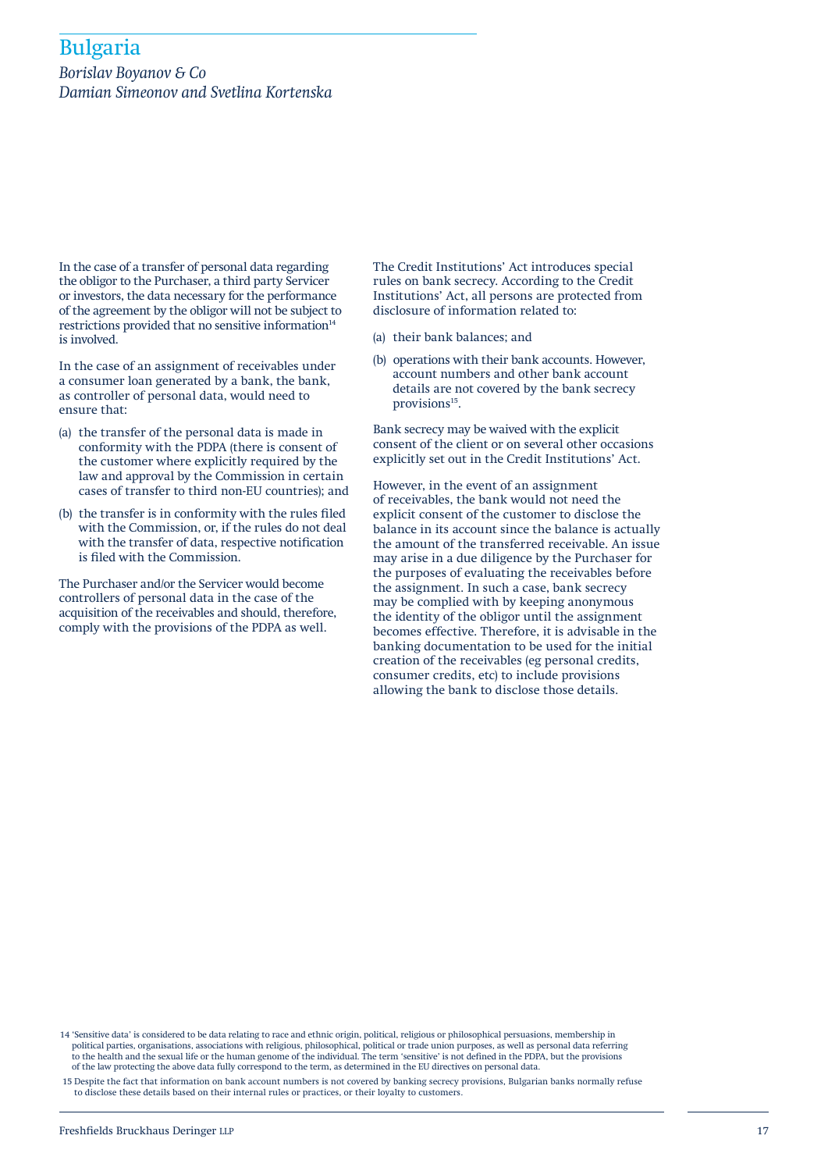*Borislav Boyanov & Co Damian Simeonov and Svetlina Kortenska*

In the case of a transfer of personal data regarding the obligor to the Purchaser, a third party Servicer or investors, the data necessary for the performance of the agreement by the obligor will not be subject to restrictions provided that no sensitive information<sup>14</sup> is involved.

In the case of an assignment of receivables under a consumer loan generated by a bank, the bank, as controller of personal data, would need to ensure that:

- (a) the transfer of the personal data is made in conformity with the PDPA (there is consent of the customer where explicitly required by the law and approval by the Commission in certain cases of transfer to third non-EU countries); and
- (b) the transfer is in conformity with the rules filed with the Commission, or, if the rules do not deal with the transfer of data, respective notification is filed with the Commission.

The Purchaser and/or the Servicer would become controllers of personal data in the case of the acquisition of the receivables and should, therefore, comply with the provisions of the PDPA as well.

The Credit Institutions' Act introduces special rules on bank secrecy. According to the Credit Institutions' Act, all persons are protected from disclosure of information related to:

- (a) their bank balances; and
- (b) operations with their bank accounts. However, account numbers and other bank account details are not covered by the bank secrecy provisions<sup>15</sup>.

Bank secrecy may be waived with the explicit consent of the client or on several other occasions explicitly set out in the Credit Institutions' Act.

However, in the event of an assignment of receivables, the bank would not need the explicit consent of the customer to disclose the balance in its account since the balance is actually the amount of the transferred receivable. An issue may arise in a due diligence by the Purchaser for the purposes of evaluating the receivables before the assignment. In such a case, bank secrecy may be complied with by keeping anonymous the identity of the obligor until the assignment becomes effective. Therefore, it is advisable in the banking documentation to be used for the initial creation of the receivables (eg personal credits, consumer credits, etc) to include provisions allowing the bank to disclose those details.

14 'Sensitive data' is considered to be data relating to race and ethnic origin, political, religious or philosophical persuasions, membership in political parties, organisations, associations with religious, philosophical, political or trade union purposes, as well as personal data referring to the health and the sexual life or the human genome of the individual. The term 'sensitive' is not defined in the PDPA, but the provisions of the law protecting the above data fully correspond to the term, as determined in the EU directives on personal data.

 15 Despite the fact that information on bank account numbers is not covered by banking secrecy provisions, Bulgarian banks normally refuse to disclose these details based on their internal rules or practices, or their loyalty to customers.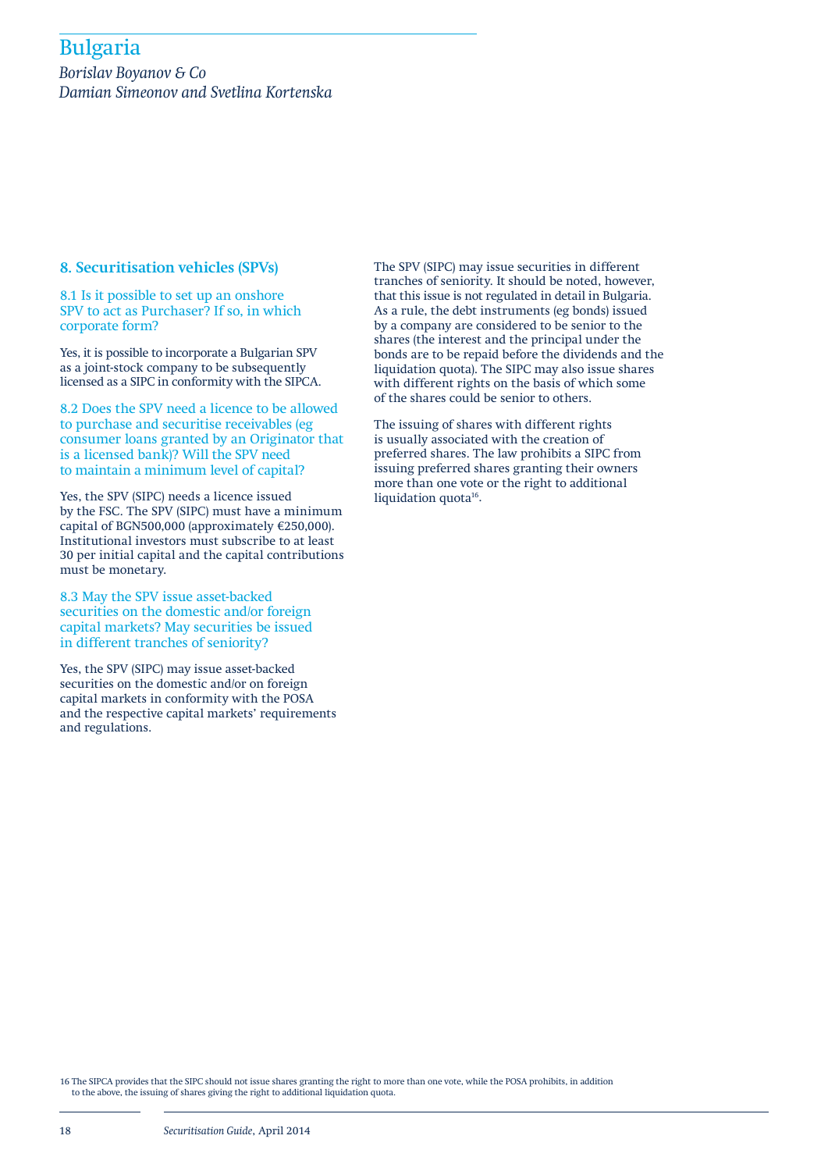*Borislav Boyanov & Co Damian Simeonov and Svetlina Kortenska*

### **8. Securitisation vehicles (SPVs)**

8.1 Is it possible to set up an onshore SPV to act as Purchaser? If so, in which corporate form?

Yes, it is possible to incorporate a Bulgarian SPV as a joint-stock company to be subsequently licensed as a SIPC in conformity with the SIPCA.

8.2 Does the SPV need a licence to be allowed to purchase and securitise receivables (eg consumer loans granted by an Originator that is a licensed bank)? Will the SPV need to maintain a minimum level of capital?

Yes, the SPV (SIPC) needs a licence issued by the FSC. The SPV (SIPC) must have a minimum capital of BGN500,000 (approximately €250,000). Institutional investors must subscribe to at least 30 per initial capital and the capital contributions must be monetary.

8.3 May the SPV issue asset-backed securities on the domestic and/or foreign capital markets? May securities be issued in different tranches of seniority?

Yes, the SPV (SIPC) may issue asset-backed securities on the domestic and/or on foreign capital markets in conformity with the POSA and the respective capital markets' requirements and regulations.

The SPV (SIPC) may issue securities in different tranches of seniority. It should be noted, however, that this issue is not regulated in detail in Bulgaria. As a rule, the debt instruments (eg bonds) issued by a company are considered to be senior to the shares (the interest and the principal under the bonds are to be repaid before the dividends and the liquidation quota). The SIPC may also issue shares with different rights on the basis of which some of the shares could be senior to others.

The issuing of shares with different rights is usually associated with the creation of preferred shares. The law prohibits a SIPC from issuing preferred shares granting their owners more than one vote or the right to additional liquidation quota<sup>16</sup>.

16 The SIPCA provides that the SIPC should not issue shares granting the right to more than one vote, while the POSA prohibits, in addition to the above, the issuing of shares giving the right to additional liquidation quota.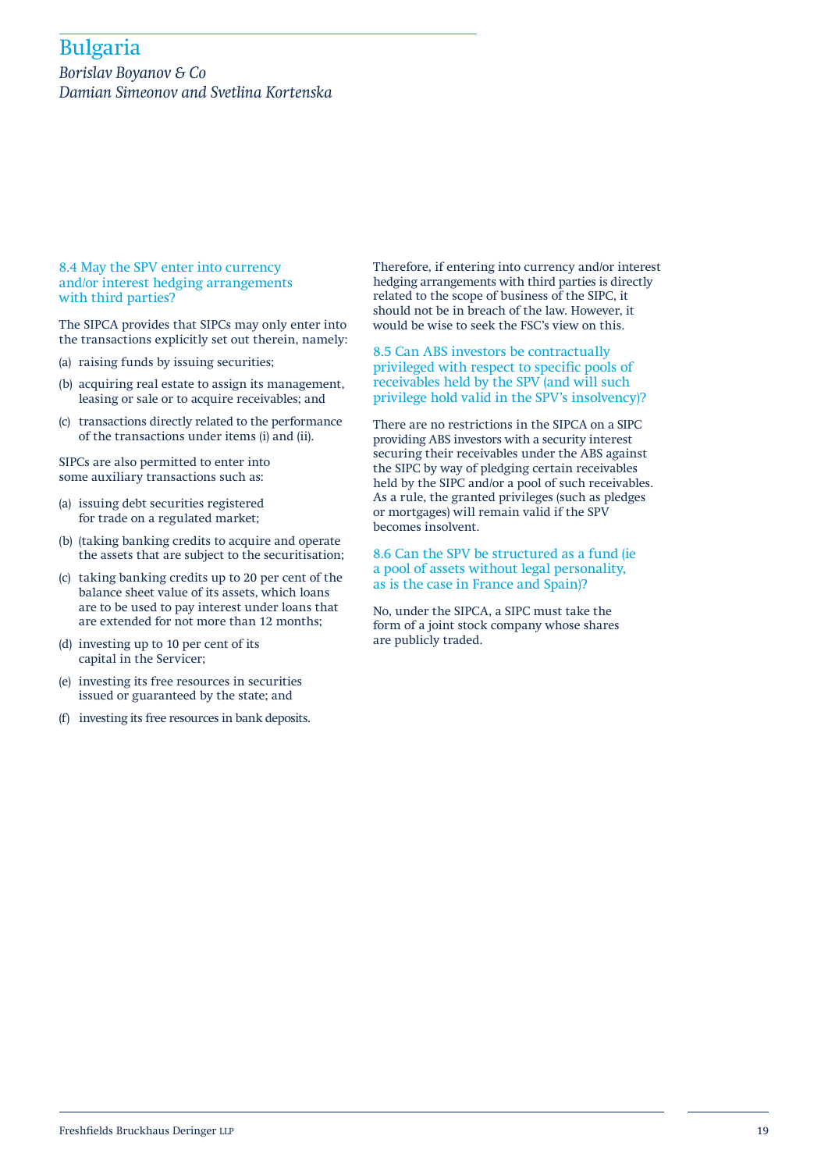*Borislav Boyanov & Co Damian Simeonov and Svetlina Kortenska*

#### 8.4 May the SPV enter into currency and/or interest hedging arrangements with third parties?

The SIPCA provides that SIPCs may only enter into the transactions explicitly set out therein, namely:

- (a) raising funds by issuing securities;
- (b) acquiring real estate to assign its management, leasing or sale or to acquire receivables; and
- (c) transactions directly related to the performance of the transactions under items (i) and (ii).

SIPCs are also permitted to enter into some auxiliary transactions such as:

- (a) issuing debt securities registered for trade on a regulated market;
- (b) (taking banking credits to acquire and operate the assets that are subject to the securitisation;
- (c) taking banking credits up to 20 per cent of the balance sheet value of its assets, which loans are to be used to pay interest under loans that are extended for not more than 12 months;
- (d) investing up to 10 per cent of its capital in the Servicer;
- (e) investing its free resources in securities issued or guaranteed by the state; and
- (f) investing its free resources in bank deposits.

Therefore, if entering into currency and/or interest hedging arrangements with third parties is directly related to the scope of business of the SIPC, it should not be in breach of the law. However, it would be wise to seek the FSC's view on this.

8.5 Can ABS investors be contractually privileged with respect to specific pools of receivables held by the SPV (and will such privilege hold valid in the SPV's insolvency)?

There are no restrictions in the SIPCA on a SIPC providing ABS investors with a security interest securing their receivables under the ABS against the SIPC by way of pledging certain receivables held by the SIPC and/or a pool of such receivables. As a rule, the granted privileges (such as pledges or mortgages) will remain valid if the SPV becomes insolvent.

8.6 Can the SPV be structured as a fund (ie a pool of assets without legal personality, as is the case in France and Spain)?

No, under the SIPCA, a SIPC must take the form of a joint stock company whose shares are publicly traded.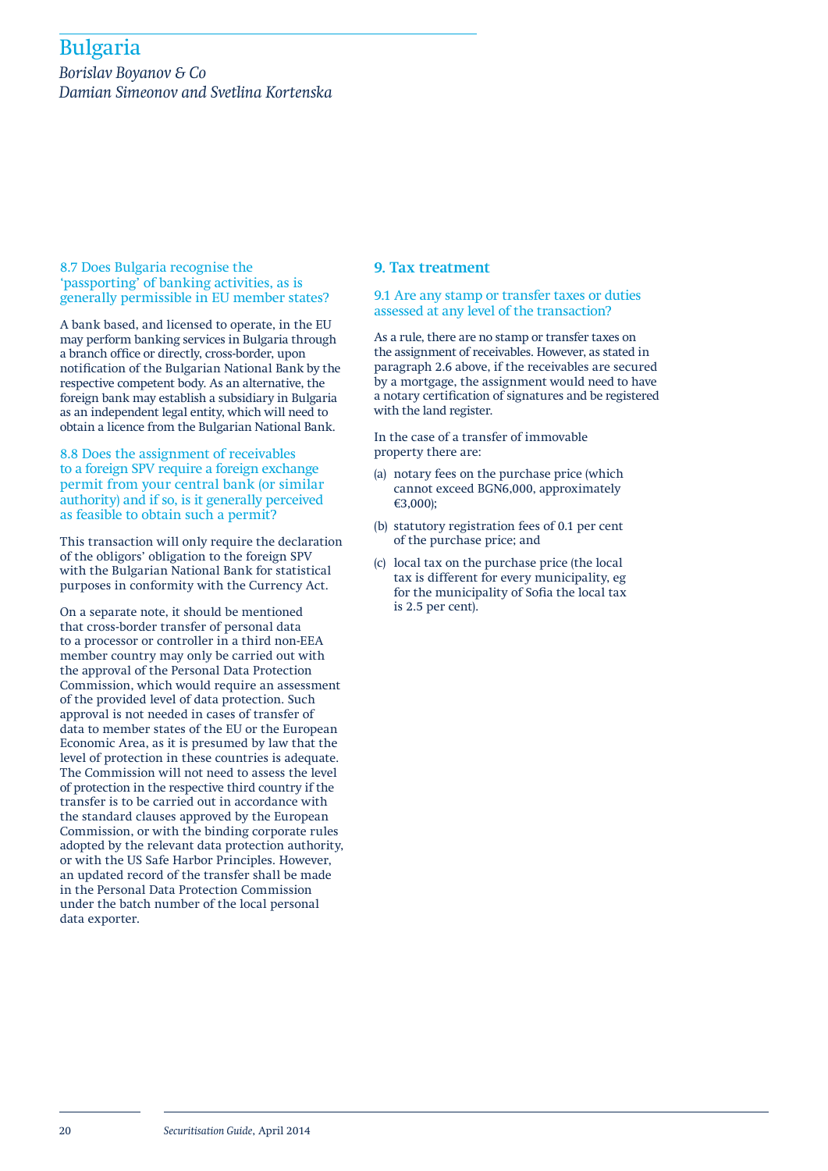*Borislav Boyanov & Co Damian Simeonov and Svetlina Kortenska*

#### 8.7 Does Bulgaria recognise the 'passporting' of banking activities, as is generally permissible in EU member states?

A bank based, and licensed to operate, in the EU may perform banking services in Bulgaria through a branch office or directly, cross-border, upon notification of the Bulgarian National Bank by the respective competent body. As an alternative, the foreign bank may establish a subsidiary in Bulgaria as an independent legal entity, which will need to obtain a licence from the Bulgarian National Bank.

8.8 Does the assignment of receivables to a foreign SPV require a foreign exchange permit from your central bank (or similar authority) and if so, is it generally perceived as feasible to obtain such a permit?

This transaction will only require the declaration of the obligors' obligation to the foreign SPV with the Bulgarian National Bank for statistical purposes in conformity with the Currency Act.

On a separate note, it should be mentioned that cross-border transfer of personal data to a processor or controller in a third non-EEA member country may only be carried out with the approval of the Personal Data Protection Commission, which would require an assessment of the provided level of data protection. Such approval is not needed in cases of transfer of data to member states of the EU or the European Economic Area, as it is presumed by law that the level of protection in these countries is adequate. The Commission will not need to assess the level of protection in the respective third country if the transfer is to be carried out in accordance with the standard clauses approved by the European Commission, or with the binding corporate rules adopted by the relevant data protection authority, or with the US Safe Harbor Principles. However, an updated record of the transfer shall be made in the Personal Data Protection Commission under the batch number of the local personal data exporter.

#### **9. Tax treatment**

#### 9.1 Are any stamp or transfer taxes or duties assessed at any level of the transaction?

As a rule, there are no stamp or transfer taxes on the assignment of receivables. However, as stated in paragraph 2.6 above, if the receivables are secured by a mortgage, the assignment would need to have a notary certification of signatures and be registered with the land register.

In the case of a transfer of immovable property there are:

- (a) notary fees on the purchase price (which cannot exceed BGN6,000, approximately €3,000);
- (b) statutory registration fees of 0.1 per cent of the purchase price; and
- (c) local tax on the purchase price (the local tax is different for every municipality, eg for the municipality of Sofia the local tax is 2.5 per cent).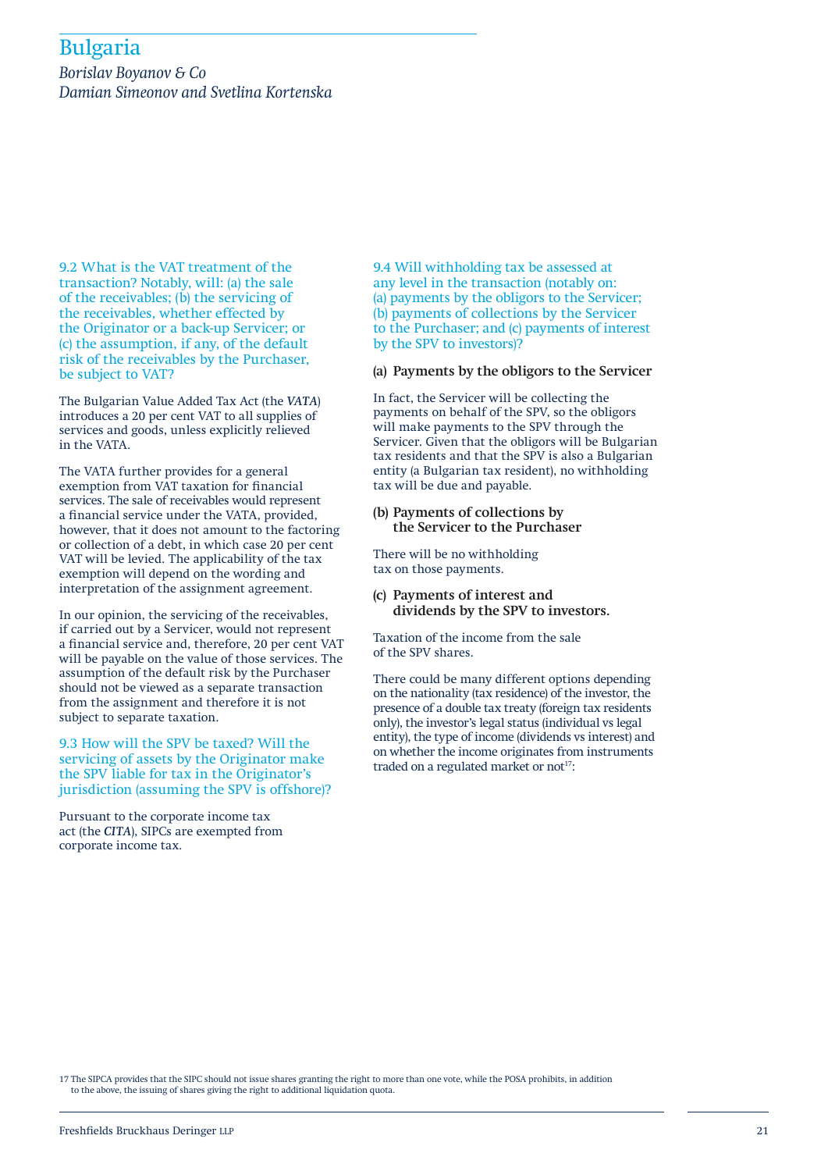*Borislav Boyanov & Co Damian Simeonov and Svetlina Kortenska*

9.2 What is the VAT treatment of the transaction? Notably, will: (a) the sale of the receivables; (b) the servicing of the receivables, whether effected by the Originator or a back-up Servicer; or (c) the assumption, if any, of the default risk of the receivables by the Purchaser, be subject to VAT?

The Bulgarian Value Added Tax Act (the *VATA*) introduces a 20 per cent VAT to all supplies of services and goods, unless explicitly relieved in the VATA.

The VATA further provides for a general exemption from VAT taxation for financial services. The sale of receivables would represent a financial service under the VATA, provided, however, that it does not amount to the factoring or collection of a debt, in which case 20 per cent VAT will be levied. The applicability of the tax exemption will depend on the wording and interpretation of the assignment agreement.

In our opinion, the servicing of the receivables, if carried out by a Servicer, would not represent a financial service and, therefore, 20 per cent VAT will be payable on the value of those services. The assumption of the default risk by the Purchaser should not be viewed as a separate transaction from the assignment and therefore it is not subject to separate taxation.

9.3 How will the SPV be taxed? Will the servicing of assets by the Originator make the SPV liable for tax in the Originator's jurisdiction (assuming the SPV is offshore)?

Pursuant to the corporate income tax act (the *CITA*), SIPCs are exempted from corporate income tax.

9.4 Will withholding tax be assessed at any level in the transaction (notably on: (a) payments by the obligors to the Servicer; (b) payments of collections by the Servicer to the Purchaser; and (c) payments of interest by the SPV to investors)?

#### **(a) Payments by the obligors to the Servicer**

In fact, the Servicer will be collecting the payments on behalf of the SPV, so the obligors will make payments to the SPV through the Servicer. Given that the obligors will be Bulgarian tax residents and that the SPV is also a Bulgarian entity (a Bulgarian tax resident), no withholding tax will be due and payable.

**(b) Payments of collections by the Servicer to the Purchaser** 

There will be no withholding tax on those payments.

**(c) Payments of interest and dividends by the SPV to investors.** 

Taxation of the income from the sale of the SPV shares.

There could be many different options depending on the nationality (tax residence) of the investor, the presence of a double tax treaty (foreign tax residents only), the investor's legal status (individual vs legal entity), the type of income (dividends vs interest) and on whether the income originates from instruments traded on a regulated market or not<sup>17</sup>:

17 The SIPCA provides that the SIPC should not issue shares granting the right to more than one vote, while the POSA prohibits, in addition to the above, the issuing of shares giving the right to additional liquidation quota.